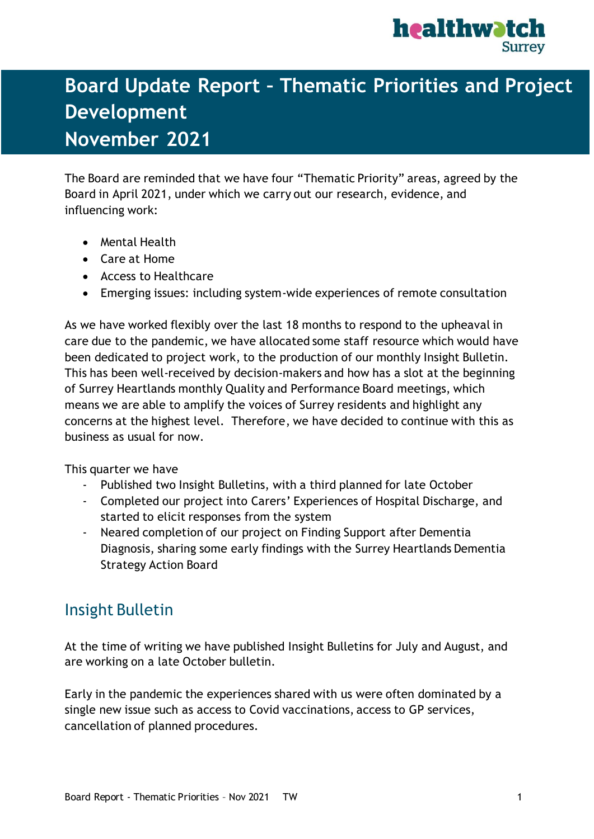

## Publications and progress in Q2 **Board Update Report – Thematic Priorities and Project Development November 2021**

The Board are reminded that we have four "Thematic Priority" areas, agreed by the Board in April 2021, under which we carry out our research, evidence, and influencing work:

- Mental Health
- Care at Home
- Access to Healthcare
- Emerging issues: including system-wide experiences of remote consultation

As we have worked flexibly over the last 18 months to respond to the upheaval in care due to the pandemic, we have allocated some staff resource which would have been dedicated to project work, to the production of our monthly Insight Bulletin. This has been well-received by decision-makers and how has a slot at the beginning of Surrey Heartlands monthly Quality and Performance Board meetings, which means we are able to amplify the voices of Surrey residents and highlight any concerns at the highest level. Therefore, we have decided to continue with this as business as usual for now.

This quarter we have

- Published two Insight Bulletins, with a third planned for late October
- Completed our project into Carers' Experiences of Hospital Discharge, and started to elicit responses from the system
- Neared completion of our project on Finding Support after Dementia Diagnosis, sharing some early findings with the Surrey Heartlands Dementia Strategy Action Board

## Insight Bulletin

At the time of writing we have published Insight Bulletins for July and August, and are working on a late October bulletin.

Early in the pandemic the experiences shared with us were often dominated by a single new issue such as access to Covid vaccinations, access to GP services, cancellation of planned procedures.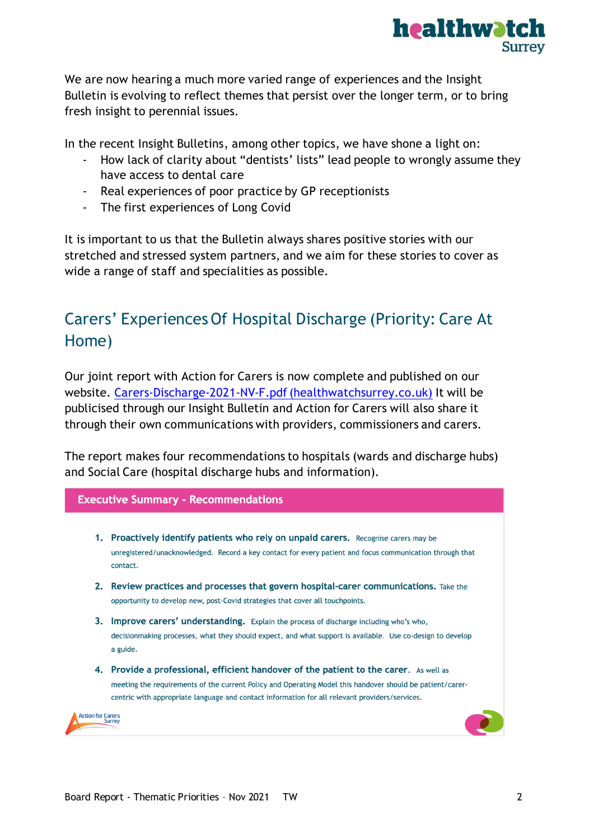

We are now hearing a much more varied range of experiences and the Insight Bulletin is evolving to reflect themes that persist over the longer term, or to bring fresh insight to perennial issues.

In the recent Insight Bulletins, among other topics, we have shone a light on:

- How lack of clarity about "dentists' lists" lead people to wrongly assume they have access to dental care
- Real experiences of poor practice by GP receptionists
- The first experiences of Long Covid

It is important to us that the Bulletin always shares positive stories with our stretched and stressed system partners, and we aim for these stories to cover as wide a range of staff and specialities as possible.

## Carers' Experiences Of Hospital Discharge (Priority: Care At Home)

Our joint report with Action for Carers is now complete and published on our website. [Carers-Discharge-2021-NV-F.pdf \(healthwatchsurrey.co.uk\)](https://www.healthwatchsurrey.co.uk/wp-content/uploads/2021/10/Carers-Discharge-2021-NV-F.pdf) It will be publicised through our Insight Bulletin and Action for Carers will also share it through their own communications with providers, commissioners and carers.

The report makes four recommendations to hospitals (wards and discharge hubs) and Social Care (hospital discharge hubs and information).

#### **Executive Summary - Recommendations**

- 1. Proactively identify patients who rely on unpaid carers. Recognise carers may be unregistered/unacknowledged. Record a key contact for every patient and focus communication through that contact.
- 2. Review practices and processes that govern hospital-carer communications. Take the opportunity to develop new, post-Covid strategies that cover all touchpoints.
- 3. Improve carers' understanding. Explain the process of discharge including who's who, decisionmaking processes, what they should expect, and what support is available. Use co-design to develop a guide.
- 4. Provide a professional, efficient handover of the patient to the carer. As well as meeting the requirements of the current Policy and Operating Model this handover should be patient/carercentric with appropriate language and contact information for all relevant providers/services.

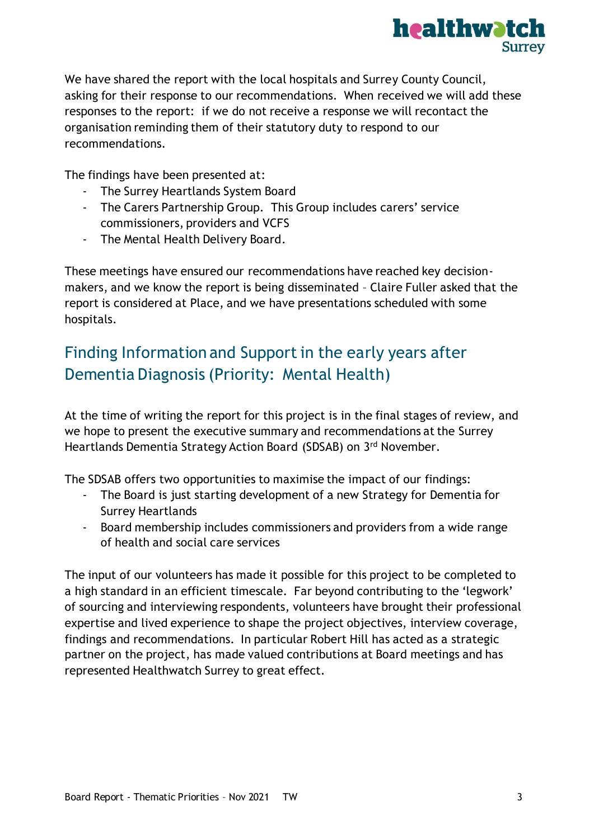

We have shared the report with the local hospitals and Surrey County Council, asking for their response to our recommendations. When received we will add these responses to the report: if we do not receive a response we will recontact the organisation reminding them of their statutory duty to respond to our recommendations.

The findings have been presented at:

- The Surrey Heartlands System Board
- The Carers Partnership Group. This Group includes carers' service commissioners, providers and VCFS
- The Mental Health Delivery Board.

These meetings have ensured our recommendations have reached key decisionmakers, and we know the report is being disseminated – Claire Fuller asked that the report is considered at Place, and we have presentations scheduled with some hospitals.

## Finding Information and Support in the early years after Dementia Diagnosis (Priority: Mental Health)

At the time of writing the report for this project is in the final stages of review, and we hope to present the executive summary and recommendations at the Surrey Heartlands Dementia Strategy Action Board (SDSAB) on 3rd November.

The SDSAB offers two opportunities to maximise the impact of our findings:

- The Board is just starting development of a new Strategy for Dementia for Surrey Heartlands
- Board membership includes commissioners and providers from a wide range of health and social care services

The input of our volunteers has made it possible for this project to be completed to a high standard in an efficient timescale. Far beyond contributing to the 'legwork' of sourcing and interviewing respondents, volunteers have brought their professional expertise and lived experience to shape the project objectives, interview coverage, findings and recommendations. In particular Robert Hill has acted as a strategic partner on the project, has made valued contributions at Board meetings and has represented Healthwatch Surrey to great effect.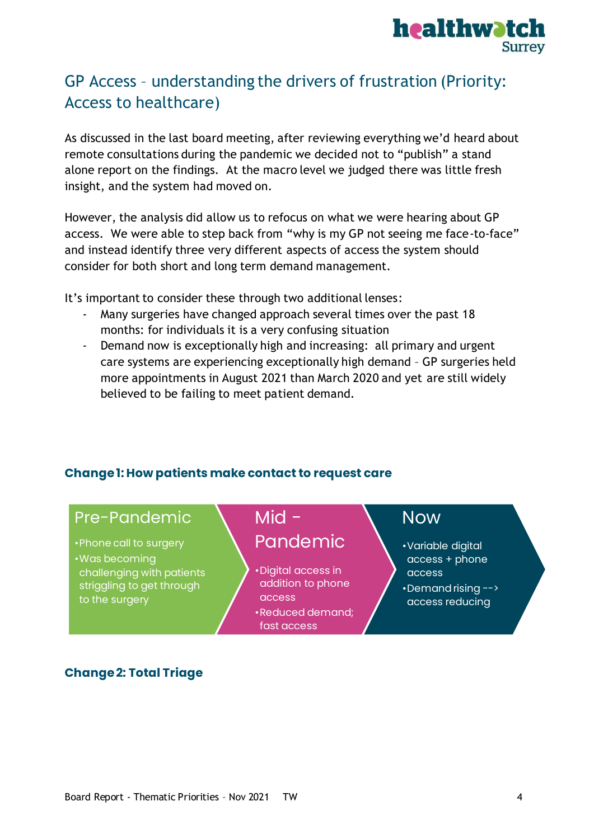

## GP Access – understanding the drivers of frustration (Priority: Access to healthcare)

As discussed in the last board meeting, after reviewing everything we'd heard about remote consultations during the pandemic we decided not to "publish" a stand alone report on the findings. At the macro level we judged there was little fresh insight, and the system had moved on.

However, the analysis did allow us to refocus on what we were hearing about GP access. We were able to step back from "why is my GP not seeing me face-to-face" and instead identify three very different aspects of access the system should consider for both short and long term demand management.

It's important to consider these through two additional lenses:

- Many surgeries have changed approach several times over the past 18 months: for individuals it is a very confusing situation
- Demand now is exceptionally high and increasing: all primary and urgent care systems are experiencing exceptionally high demand – GP surgeries held more appointments in August 2021 than March 2020 and yet are still widely believed to be failing to meet patient demand.

#### **Change 1: How patients make contact to request care**

### Pre-Pandemic

- •Phone call to surgery
- •Was becoming challenging with patients striggling to get through to the surgery

# Pandemic

 $Mid -$ 

•Digital access in addition to phone access •Reduced demand;

fast access

## Now

- •Variable digital access + phone access
- •Demand rising --> access reducing

#### **Change 2: Total Triage**